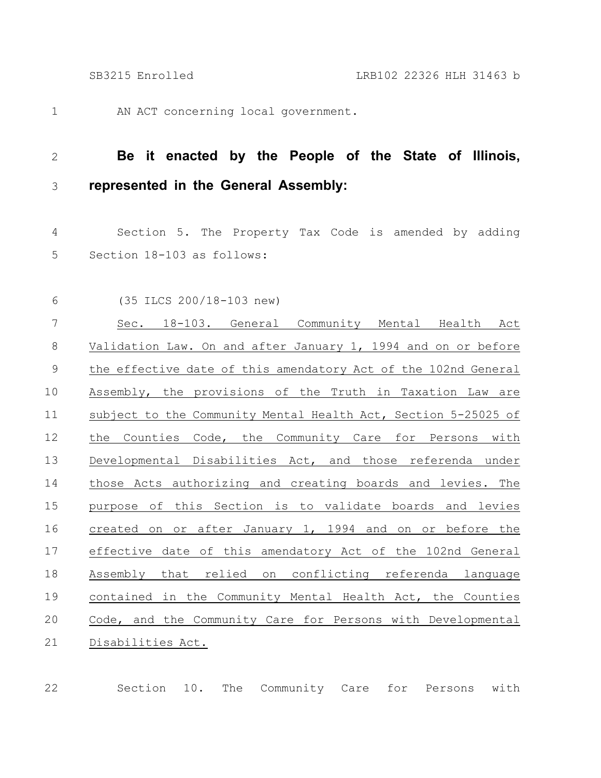AN ACT concerning local government. 1

## **Be it enacted by the People of the State of Illinois, represented in the General Assembly:** 2 3

Section 5. The Property Tax Code is amended by adding Section 18-103 as follows: 4 5

(35 ILCS 200/18-103 new) Sec. 18-103. General Community Mental Health Act Validation Law. On and after January 1, 1994 and on or before the effective date of this amendatory Act of the 102nd General Assembly, the provisions of the Truth in Taxation Law are subject to the Community Mental Health Act, Section 5-25025 of the Counties Code, the Community Care for Persons with Developmental Disabilities Act, and those referenda under those Acts authorizing and creating boards and levies. The purpose of this Section is to validate boards and levies created on or after January 1, 1994 and on or before the effective date of this amendatory Act of the 102nd General Assembly that relied on conflicting referenda language contained in the Community Mental Health Act, the Counties Code, and the Community Care for Persons with Developmental Disabilities Act. 6 7 8 9 10 11 12 13 14 15 16 17 18 19 20 21

Section 10. The Community Care for Persons with 22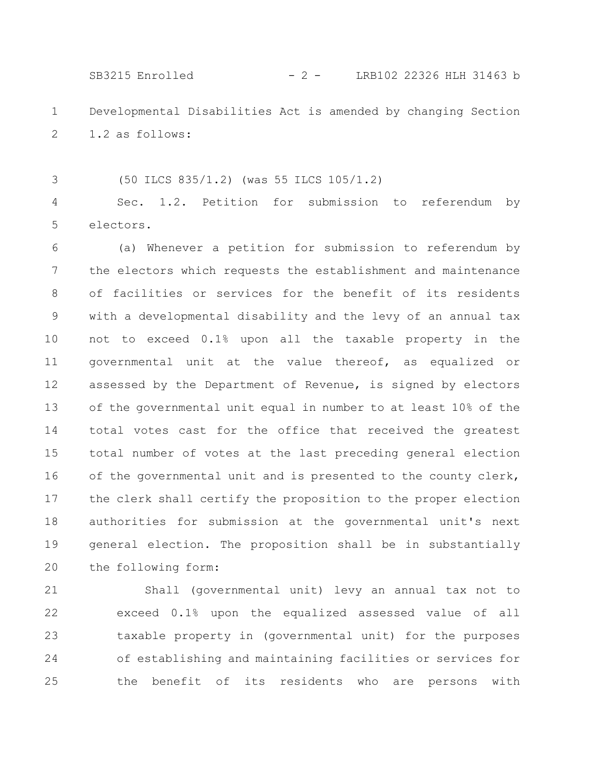SB3215 Enrolled - 2 - LRB102 22326 HLH 31463 b

Developmental Disabilities Act is amended by changing Section 1.2 as follows: 1 2

(50 ILCS 835/1.2) (was 55 ILCS 105/1.2)

3

Sec. 1.2. Petition for submission to referendum by electors. 4 5

(a) Whenever a petition for submission to referendum by the electors which requests the establishment and maintenance of facilities or services for the benefit of its residents with a developmental disability and the levy of an annual tax not to exceed 0.1% upon all the taxable property in the governmental unit at the value thereof, as equalized or assessed by the Department of Revenue, is signed by electors of the governmental unit equal in number to at least 10% of the total votes cast for the office that received the greatest total number of votes at the last preceding general election of the governmental unit and is presented to the county clerk, the clerk shall certify the proposition to the proper election authorities for submission at the governmental unit's next general election. The proposition shall be in substantially the following form: 6 7 8 9 10 11 12 13 14 15 16 17 18 19 20

Shall (governmental unit) levy an annual tax not to exceed 0.1% upon the equalized assessed value of all taxable property in (governmental unit) for the purposes of establishing and maintaining facilities or services for the benefit of its residents who are persons with 21 22 23 24 25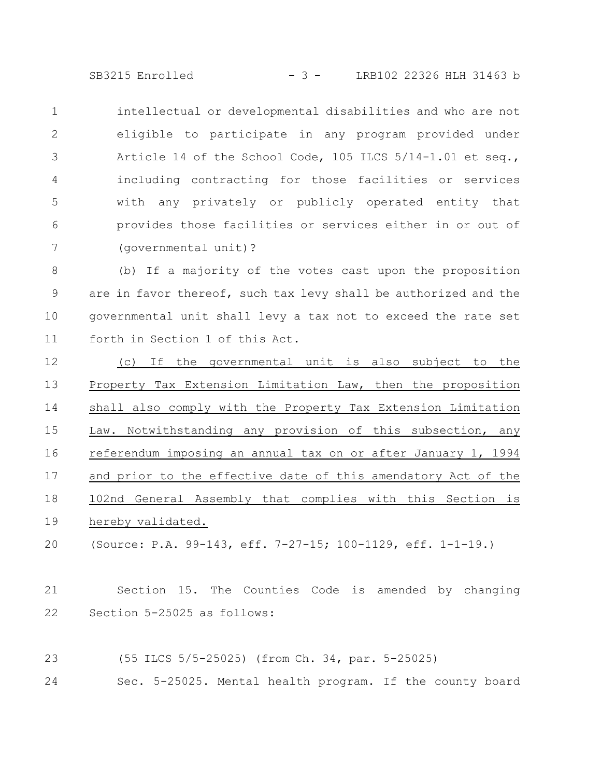SB3215 Enrolled - 3 - LRB102 22326 HLH 31463 b

intellectual or developmental disabilities and who are not eligible to participate in any program provided under Article 14 of the School Code, 105 ILCS 5/14-1.01 et seq., including contracting for those facilities or services with any privately or publicly operated entity that provides those facilities or services either in or out of (governmental unit)? 1 2 3 4 5 6 7

(b) If a majority of the votes cast upon the proposition are in favor thereof, such tax levy shall be authorized and the governmental unit shall levy a tax not to exceed the rate set forth in Section 1 of this Act. 8 9 10 11

(c) If the governmental unit is also subject to the Property Tax Extension Limitation Law, then the proposition shall also comply with the Property Tax Extension Limitation Law. Notwithstanding any provision of this subsection, any referendum imposing an annual tax on or after January 1, 1994 and prior to the effective date of this amendatory Act of the 102nd General Assembly that complies with this Section is hereby validated. 12 13 14 15 16 17 18 19

(Source: P.A. 99-143, eff. 7-27-15; 100-1129, eff. 1-1-19.) 20

Section 15. The Counties Code is amended by changing Section 5-25025 as follows: 21 22

- (55 ILCS 5/5-25025) (from Ch. 34, par. 5-25025) 23
- Sec. 5-25025. Mental health program. If the county board 24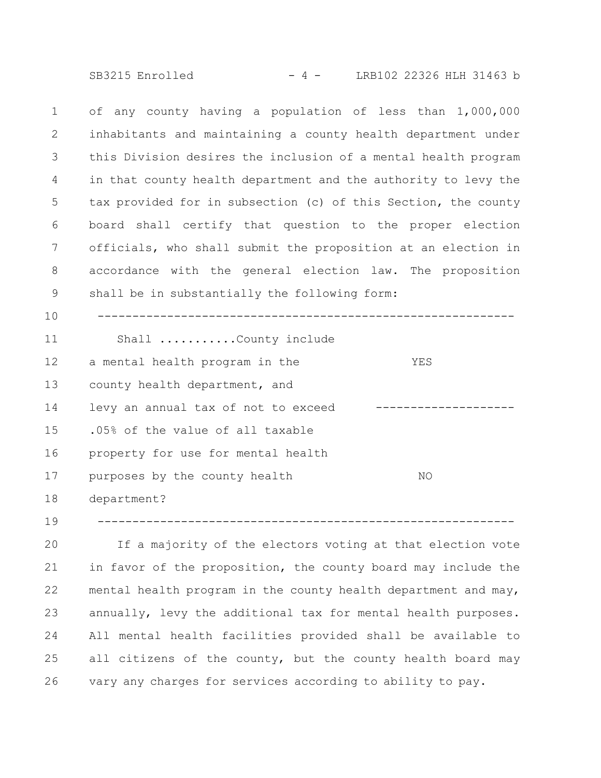SB3215 Enrolled - 4 - LRB102 22326 HLH 31463 b

of any county having a population of less than 1,000,000 inhabitants and maintaining a county health department under this Division desires the inclusion of a mental health program in that county health department and the authority to levy the tax provided for in subsection (c) of this Section, the county board shall certify that question to the proper election officials, who shall submit the proposition at an election in accordance with the general election law. The proposition shall be in substantially the following form: ------------------------------------------------------------ Shall ...........County include a mental health program in the YES county health department, and levy an annual tax of not to exceed --------------------.05% of the value of all taxable property for use for mental health purposes by the county health NO department? ------------------------------------------------------------ 1 2 3 4 5 6 7 8 9 10 11 12 13 14 15 16 17 18

If a majority of the electors voting at that election vote in favor of the proposition, the county board may include the mental health program in the county health department and may, annually, levy the additional tax for mental health purposes. All mental health facilities provided shall be available to all citizens of the county, but the county health board may vary any charges for services according to ability to pay. 20 21 22 23 24 25 26

19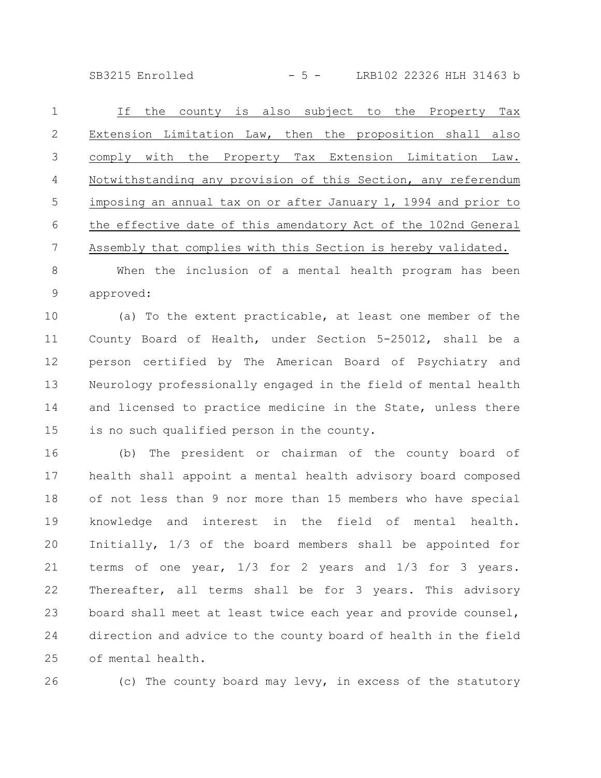SB3215 Enrolled - 5 - LRB102 22326 HLH 31463 b

| $\overline{1}$ | If the county is also subject to the Property Tax               |
|----------------|-----------------------------------------------------------------|
| $\mathcal{L}$  | Extension Limitation Law, then the proposition shall also       |
| 3              | comply with the Property Tax Extension Limitation<br>Law.       |
| $\overline{4}$ | Notwithstanding any provision of this Section, any referendum   |
| .5             | imposing an annual tax on or after January 1, 1994 and prior to |
| 6              | the effective date of this amendatory Act of the 102nd General  |
|                | Assembly that complies with this Section is hereby validated.   |
|                |                                                                 |

When the inclusion of a mental health program has been approved: 8 9

(a) To the extent practicable, at least one member of the County Board of Health, under Section 5-25012, shall be a person certified by The American Board of Psychiatry and Neurology professionally engaged in the field of mental health and licensed to practice medicine in the State, unless there is no such qualified person in the county. 10 11 12 13 14 15

(b) The president or chairman of the county board of health shall appoint a mental health advisory board composed of not less than 9 nor more than 15 members who have special knowledge and interest in the field of mental health. Initially, 1/3 of the board members shall be appointed for terms of one year, 1/3 for 2 years and 1/3 for 3 years. Thereafter, all terms shall be for 3 years. This advisory board shall meet at least twice each year and provide counsel, direction and advice to the county board of health in the field of mental health. 16 17 18 19 20 21 22 23 24 25

26

(c) The county board may levy, in excess of the statutory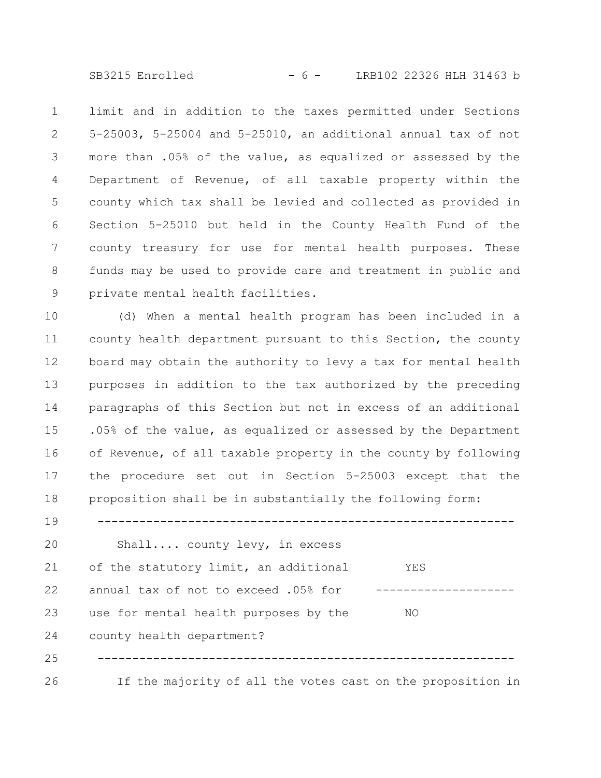SB3215 Enrolled - 6 - LRB102 22326 HLH 31463 b

limit and in addition to the taxes permitted under Sections 5-25003, 5-25004 and 5-25010, an additional annual tax of not more than .05% of the value, as equalized or assessed by the Department of Revenue, of all taxable property within the county which tax shall be levied and collected as provided in Section 5-25010 but held in the County Health Fund of the county treasury for use for mental health purposes. These funds may be used to provide care and treatment in public and private mental health facilities. 1 2 3 4 5 6 7 8 9

(d) When a mental health program has been included in a county health department pursuant to this Section, the county board may obtain the authority to levy a tax for mental health purposes in addition to the tax authorized by the preceding paragraphs of this Section but not in excess of an additional .05% of the value, as equalized or assessed by the Department of Revenue, of all taxable property in the county by following the procedure set out in Section 5-25003 except that the proposition shall be in substantially the following form: 10 11 12 13 14 15 16 17 18

Shall.... county levy, in excess of the statutory limit, an additional YES annual tax of not to exceed .05% for -----------------use for mental health purposes by the NO county health department? ------------------------------------------------------------ If the majority of all the votes cast on the proposition in 20 21 22 23 24 25 26

19

------------------------------------------------------------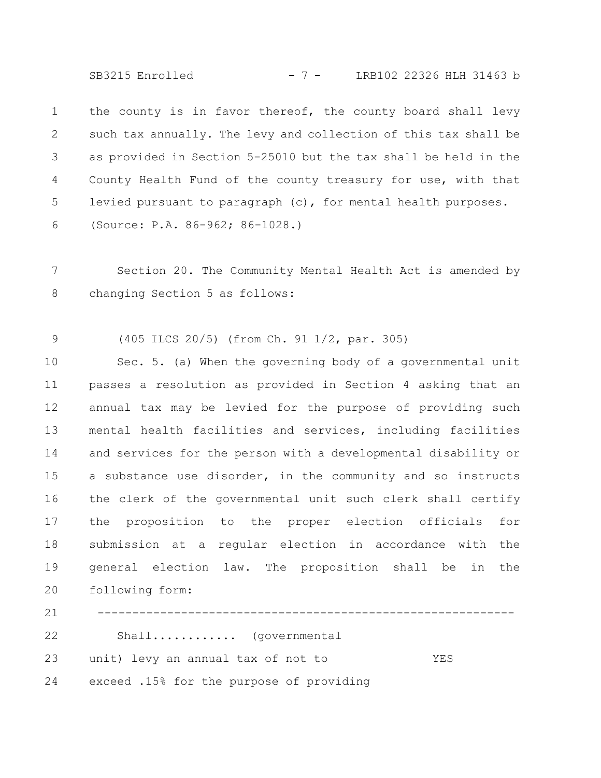SB3215 Enrolled - 7 - LRB102 22326 HLH 31463 b

the county is in favor thereof, the county board shall levy such tax annually. The levy and collection of this tax shall be as provided in Section 5-25010 but the tax shall be held in the County Health Fund of the county treasury for use, with that levied pursuant to paragraph (c), for mental health purposes. (Source: P.A. 86-962; 86-1028.) 1 2 3 4 5 6

Section 20. The Community Mental Health Act is amended by changing Section 5 as follows: 7 8

(405 ILCS 20/5) (from Ch. 91 1/2, par. 305) 9

Sec. 5. (a) When the governing body of a governmental unit passes a resolution as provided in Section 4 asking that an annual tax may be levied for the purpose of providing such mental health facilities and services, including facilities and services for the person with a developmental disability or a substance use disorder, in the community and so instructs the clerk of the governmental unit such clerk shall certify the proposition to the proper election officials for submission at a regular election in accordance with the general election law. The proposition shall be in the following form: Shall............ (governmental 10 11 12 13 14 15 16 17 18 19 20 21 22

unit) levy an annual tax of not to YES 23

exceed .15% for the purpose of providing 24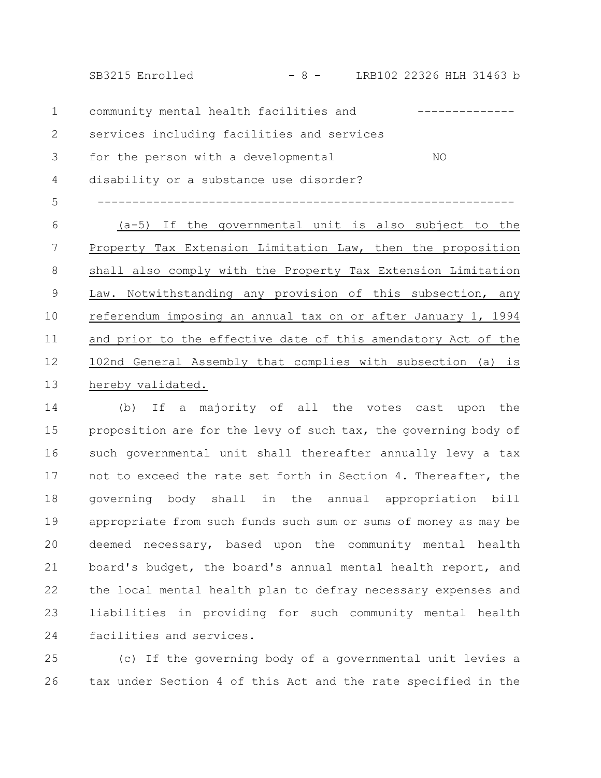SB3215 Enrolled - 8 - LRB102 22326 HLH 31463 b

community mental health facilities and -------------services including facilities and services for the person with a developmental MO disability or a substance use disorder? ------------------------------------------------------------ (a-5) If the governmental unit is also subject to the Property Tax Extension Limitation Law, then the proposition shall also comply with the Property Tax Extension Limitation Law. Notwithstanding any provision of this subsection, any referendum imposing an annual tax on or after January 1, 1994 and prior to the effective date of this amendatory Act of the 102nd General Assembly that complies with subsection (a) is hereby validated. 1 2 3 4 5 6 7 8 9 10 11 12 13

(b) If a majority of all the votes cast upon the proposition are for the levy of such tax, the governing body of such governmental unit shall thereafter annually levy a tax not to exceed the rate set forth in Section 4. Thereafter, the governing body shall in the annual appropriation bill appropriate from such funds such sum or sums of money as may be deemed necessary, based upon the community mental health board's budget, the board's annual mental health report, and the local mental health plan to defray necessary expenses and liabilities in providing for such community mental health facilities and services. 14 15 16 17 18 19 20 21 22 23 24

(c) If the governing body of a governmental unit levies a tax under Section 4 of this Act and the rate specified in the 25 26